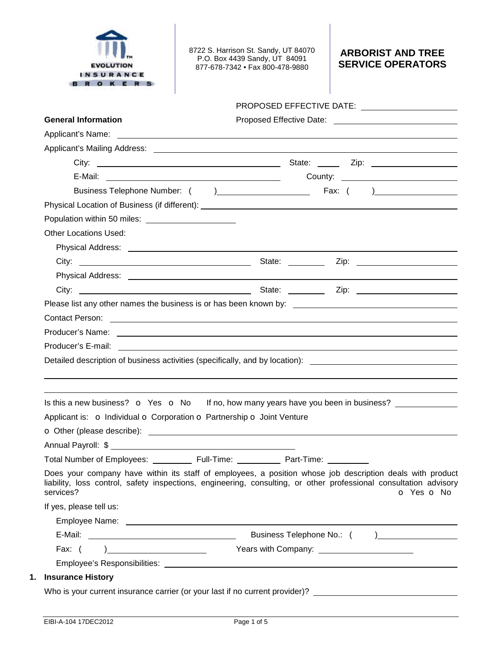

8722 S. Harrison St. Sandy, UT 84070 P.O. Box 4439 Sandy, UT 84091 877-678-7342 • Fax 800-478-9880

## **ARBORIST AND TREE SERVICE OPERATORS**

# PROPOSED EFFECTIVE DATE:

| <b>General Information</b>                                                                                                                                                                                                                  |                          |
|---------------------------------------------------------------------------------------------------------------------------------------------------------------------------------------------------------------------------------------------|--------------------------|
| Applicant's Name: <u>example and the set of the set of the set of the set of the set of the set of the set of the set of the set of the set of the set of the set of the set of the set of the set of the set of the set of the </u>        |                          |
|                                                                                                                                                                                                                                             |                          |
|                                                                                                                                                                                                                                             |                          |
|                                                                                                                                                                                                                                             |                          |
|                                                                                                                                                                                                                                             |                          |
| Physical Location of Business (if different): ___________________________________                                                                                                                                                           |                          |
| Population within 50 miles:<br>Notified by the set of the set of the set of the set of the set of the set of the set of the set of the set of the set of the set of the set of the set of the set of the set of the set of the s            |                          |
| <b>Other Locations Used:</b>                                                                                                                                                                                                                |                          |
|                                                                                                                                                                                                                                             |                          |
|                                                                                                                                                                                                                                             |                          |
|                                                                                                                                                                                                                                             |                          |
|                                                                                                                                                                                                                                             |                          |
|                                                                                                                                                                                                                                             |                          |
| Contact Person: <u>contact of the control of the control of the control of the control of the control of the control of the control of the control of the control of the control of the control of the control of the control of</u>        |                          |
|                                                                                                                                                                                                                                             |                          |
|                                                                                                                                                                                                                                             |                          |
| Detailed description of business activities (specifically, and by location): ________________________________                                                                                                                               |                          |
| Is this a new business? o Yes o No If no, how many years have you been in business?                                                                                                                                                         |                          |
| Applicant is: O Individual O Corporation O Partnership O Joint Venture                                                                                                                                                                      |                          |
|                                                                                                                                                                                                                                             |                          |
|                                                                                                                                                                                                                                             |                          |
|                                                                                                                                                                                                                                             |                          |
|                                                                                                                                                                                                                                             |                          |
| Does your company have within its staff of employees, a position whose job description deals with product<br>liability, loss control, safety inspections, engineering, consulting, or other professional consultation advisory<br>services? | <b>o</b> Yes <b>o</b> No |
| If yes, please tell us:                                                                                                                                                                                                                     |                          |
|                                                                                                                                                                                                                                             |                          |
|                                                                                                                                                                                                                                             |                          |
| Fax: $($                                                                                                                                                                                                                                    |                          |
|                                                                                                                                                                                                                                             |                          |
| <b>Insurance History</b>                                                                                                                                                                                                                    |                          |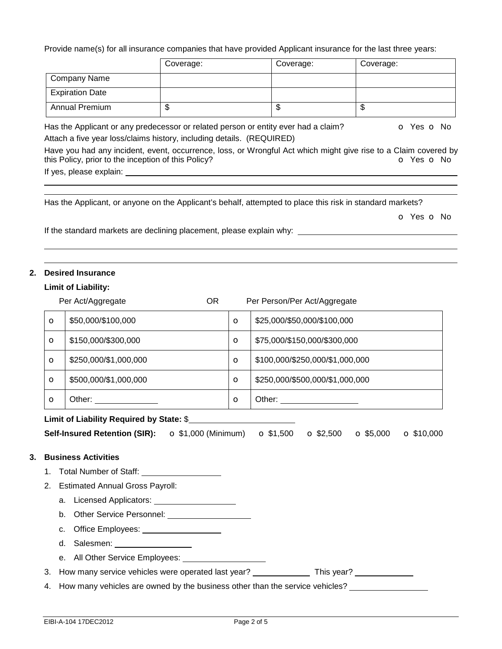Provide name(s) for all insurance companies that have provided Applicant insurance for the last three years:

|                        | Coverage: | Coverage:                                                                          | Coverage: |                 |
|------------------------|-----------|------------------------------------------------------------------------------------|-----------|-----------------|
| Company Name           |           |                                                                                    |           |                 |
| <b>Expiration Date</b> |           |                                                                                    |           |                 |
| <b>Annual Premium</b>  |           | S                                                                                  |           |                 |
|                        |           | Has the Applicant or any predecessor or related person or entity ever had a claim? | $\Omega$  | Yes <b>o</b> No |

Attach a five year loss/claims history, including details. (REQUIRED) Have you had any incident, event, occurrence, loss, or Wrongful Act which might give rise to a Claim covered by this Policy, prior to the inception of this Policy? **o** Yes **o** No

If yes, please explain:

 

 

Has the Applicant, or anyone on the Applicant's behalf, attempted to place this risk in standard markets?

o Yes o No

If the standard markets are declining placement, please explain why: \_\_\_\_

### **2. Desired Insurance**

### **Limit of Liability:**

|    |         | Per Act/Aggregate                                                                  | OR. |         | Per Person/Per Act/Aggregate |                                 |                   |                   |
|----|---------|------------------------------------------------------------------------------------|-----|---------|------------------------------|---------------------------------|-------------------|-------------------|
|    | $\circ$ | \$50,000/\$100,000                                                                 |     | $\circ$ |                              | \$25,000/\$50,000/\$100,000     |                   |                   |
|    | $\circ$ | \$150,000/\$300,000                                                                |     | $\circ$ |                              | \$75,000/\$150,000/\$300,000    |                   |                   |
|    | $\circ$ | \$250,000/\$1,000,000                                                              |     | $\circ$ |                              | \$100,000/\$250,000/\$1,000,000 |                   |                   |
|    | $\circ$ | \$500,000/\$1,000,000                                                              |     | $\circ$ |                              | \$250,000/\$500,000/\$1,000,000 |                   |                   |
|    | $\circ$ | Other: ________________                                                            |     | $\circ$ |                              |                                 |                   |                   |
|    |         | Limit of Liability Required by State: \$                                           |     |         |                              |                                 |                   |                   |
|    |         | <b>Self-Insured Retention (SIR):</b> $\bullet$ \$1,000 (Minimum) $\bullet$ \$1,500 |     |         |                              | $\Omega$ \$2,500                | $\bullet$ \$5,000 | $\Omega$ \$10,000 |
| 3. |         | <b>Business Activities</b>                                                         |     |         |                              |                                 |                   |                   |
|    | 1.      | Total Number of Staff: _____________________                                       |     |         |                              |                                 |                   |                   |
|    |         | 2. Estimated Annual Gross Payroll:                                                 |     |         |                              |                                 |                   |                   |
|    |         |                                                                                    |     |         |                              |                                 |                   |                   |

a. Licensed Applicators:

b. Other Service Personnel:

c. Office Employees:

d. Salesmen:

e. All Other Service Employees: \_\_\_\_\_\_\_\_\_\_\_\_\_\_\_\_\_\_\_\_\_\_

3. How many service vehicles were operated last year? This year?

4. How many vehicles are owned by the business other than the service vehicles? \_\_\_\_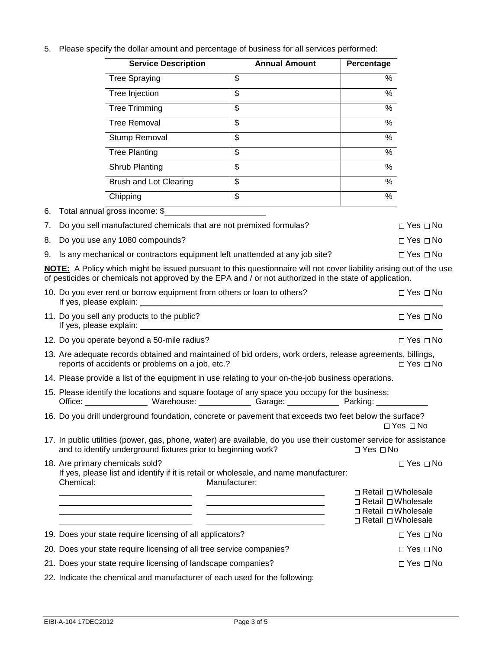5. Please specify the dollar amount and percentage of business for all services performed:

| <b>Service Description</b> | <b>Annual Amount</b> | Percentage |
|----------------------------|----------------------|------------|
| <b>Tree Spraying</b>       | \$                   | %          |
| Tree Injection             | \$                   | $\%$       |
| <b>Tree Trimming</b>       | \$                   | %          |
| <b>Tree Removal</b>        | \$                   | $\%$       |
| Stump Removal              | \$                   | %          |
| <b>Tree Planting</b>       | \$                   | %          |
| Shrub Planting             | \$                   | %          |
| Brush and Lot Clearing     | \$                   | $\%$       |
| Chipping                   | \$                   | $\%$       |

6. Total annual gross income: \$

| 7. Do you sell manufactured chemicals that are not premixed formulas?          | ⊓ Yes ⊓ No |
|--------------------------------------------------------------------------------|------------|
| 8. Do you use any 1080 compounds?                                              | ⊓ Yes ⊓ No |
| 9. Is any mechanical or contractors equipment left unattended at any job site? | ⊓ Yes ⊓ No |

**NOTE:** A Policy which might be issued pursuant to this questionnaire will not cover liability arising out of the use of pesticides or chemicals not approved by the EPA and / or not authorized in the state of application.

| 10. Do you ever rent or borrow equipment from others or loan to others?                                                                                                                           | □ Yes □ No                                                                                             |  |
|---------------------------------------------------------------------------------------------------------------------------------------------------------------------------------------------------|--------------------------------------------------------------------------------------------------------|--|
| 11. Do you sell any products to the public?                                                                                                                                                       | $\Box$ Yes $\Box$ No                                                                                   |  |
| 12. Do you operate beyond a 50-mile radius?                                                                                                                                                       | $\Box$ Yes $\Box$ No                                                                                   |  |
| 13. Are adequate records obtained and maintained of bid orders, work orders, release agreements, billings,<br>reports of accidents or problems on a job, etc.?                                    | $\Box$ Yes $\Box$ No                                                                                   |  |
| 14. Please provide a list of the equipment in use relating to your on-the-job business operations.                                                                                                |                                                                                                        |  |
| 15. Please identify the locations and square footage of any space you occupy for the business:<br>Office: __________________ Warehouse: ______________ Garage: ______________ Parking: __________ |                                                                                                        |  |
| 16. Do you drill underground foundation, concrete or pavement that exceeds two feet below the surface?                                                                                            | $\Box$ Yes $\Box$ No                                                                                   |  |
| 17. In public utilities (power, gas, phone, water) are available, do you use their customer service for assistance<br>and to identify underground fixtures prior to beginning work?               | $\Box$ Yes $\Box$ No                                                                                   |  |
| 18. Are primary chemicals sold?<br>If yes, please list and identify if it is retail or wholesale, and name manufacturer:<br>Chemical:<br>Manufacturer:                                            | $\Box$ Yes $\Box$ No                                                                                   |  |
| <u> 2008 - Andrea Andrew Maria (h. 1878).</u><br><u> 2000 - John Stone, Amerikaans en Stone (</u><br><u> 1989 - Johann Stein, Amerikaansk politiker (</u>                                         | □ Retail □ Wholesale<br>□ Retail □ Wholesale<br>$\Box$ Retail $\Box$ Wholesale<br>□ Retail □ Wholesale |  |
| 19. Does your state require licensing of all applicators?                                                                                                                                         | $\Box$ Yes $\Box$ No                                                                                   |  |
| 20. Does your state require licensing of all tree service companies?                                                                                                                              | $\Box$ Yes $\Box$ No                                                                                   |  |
| 21. Does your state require licensing of landscape companies?                                                                                                                                     |                                                                                                        |  |
| 22. Indicate the chemical and manufacturer of each used for the following:                                                                                                                        |                                                                                                        |  |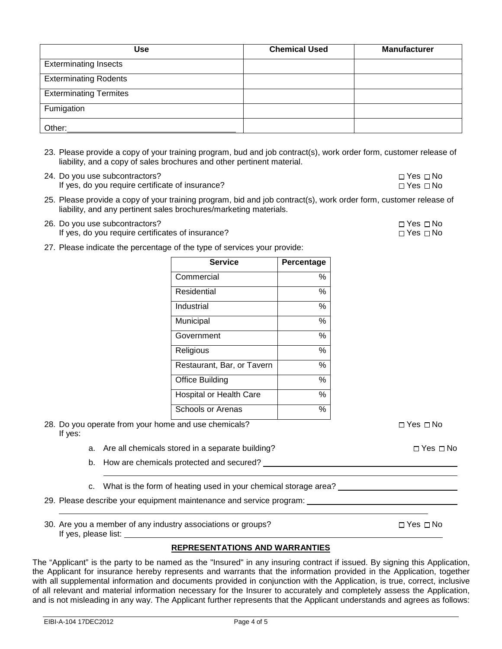| Use                           | <b>Chemical Used</b> | <b>Manufacturer</b> |
|-------------------------------|----------------------|---------------------|
| <b>Exterminating Insects</b>  |                      |                     |
| <b>Exterminating Rodents</b>  |                      |                     |
| <b>Exterminating Termites</b> |                      |                     |
| Fumigation                    |                      |                     |
| Other:                        |                      |                     |

- 23. Please provide a copy of your training program, bud and job contract(s), work order form, customer release of liability, and a copy of sales brochures and other pertinent material.
- 24. Do you use subcontractors?  $\Box$  Yes  $\Box$  No If yes, do you require certificate of insurance?  $\square$  Yes  $\square$  No
- 25. Please provide a copy of your training program, bid and job contract(s), work order form, customer release of liability, and any pertinent sales brochures/marketing materials.
- 26. Do you use subcontractors? Yes No Yes No Yes No Yes No Yes No Yes No Yes No Yes No Yes No Yes No Yes No Yes No If yes, do you require certificates of insurance?  $\square$  Yes  $\square$  Yes  $\square$  No
- 27. Please indicate the percentage of the type of services your provide:

| <b>Service</b>             | Percentage |
|----------------------------|------------|
| Commercial                 | $\%$       |
| Residential                | $\%$       |
| Industrial                 | $\%$       |
| Municipal                  | $\%$       |
| Government                 | $\%$       |
| Religious                  | %          |
| Restaurant, Bar, or Tavern | $\%$       |
| <b>Office Building</b>     | $\%$       |
| Hospital or Health Care    | $\%$       |
| Schools or Arenas          | %          |

28. Do you operate from your home and use chemicals?  $\square$  Yes  $\square$  Yes  $\square$  No If yes:

- a. Are all chemicals stored in a separate building?  $\square$  Yes  $\square$  Yes  $\square$  No
- b. How are chemicals protected and secured?
- c. What is the form of heating used in your chemical storage area?
- 29. Please describe your equipment maintenance and service program:
- 30. Are you a member of any industry associations or groups?  $\square$  Yes  $\square$  No If yes, please list:

### **REPRESENTATIONS AND WARRANTIES**

The "Applicant" is the party to be named as the "Insured" in any insuring contract if issued. By signing this Application, the Applicant for insurance hereby represents and warrants that the information provided in the Application, together with all supplemental information and documents provided in conjunction with the Application, is true, correct, inclusive of all relevant and material information necessary for the Insurer to accurately and completely assess the Application, and is not misleading in any way. The Applicant further represents that the Applicant understands and agrees as follows: